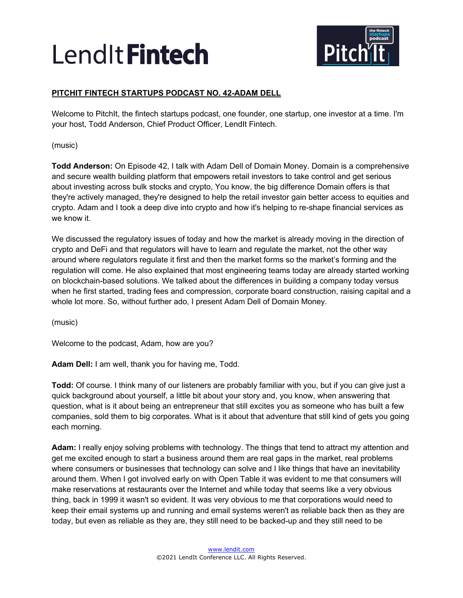

# **PITCHIT FINTECH STARTUPS PODCAST NO. 42-ADAM DELL**

Welcome to PitchIt, the fintech startups podcast, one founder, one startup, one investor at a time. I'm your host, Todd Anderson, Chief Product Officer, LendIt Fintech.

(music)

**Todd Anderson:** On Episode 42, I talk with Adam Dell of Domain Money. Domain is a comprehensive and secure wealth building platform that empowers retail investors to take control and get serious about investing across bulk stocks and crypto, You know, the big difference Domain offers is that they're actively managed, they're designed to help the retail investor gain better access to equities and crypto. Adam and I took a deep dive into crypto and how it's helping to re-shape financial services as we know it.

We discussed the regulatory issues of today and how the market is already moving in the direction of crypto and DeFi and that regulators will have to learn and regulate the market, not the other way around where regulators regulate it first and then the market forms so the market's forming and the regulation will come. He also explained that most engineering teams today are already started working on blockchain-based solutions. We talked about the differences in building a company today versus when he first started, trading fees and compression, corporate board construction, raising capital and a whole lot more. So, without further ado, I present Adam Dell of Domain Money.

(music)

Welcome to the podcast, Adam, how are you?

**Adam Dell:** I am well, thank you for having me, Todd.

**Todd:** Of course. I think many of our listeners are probably familiar with you, but if you can give just a quick background about yourself, a little bit about your story and, you know, when answering that question, what is it about being an entrepreneur that still excites you as someone who has built a few companies, sold them to big corporates. What is it about that adventure that still kind of gets you going each morning.

**Adam:** I really enjoy solving problems with technology. The things that tend to attract my attention and get me excited enough to start a business around them are real gaps in the market, real problems where consumers or businesses that technology can solve and I like things that have an inevitability around them. When I got involved early on with Open Table it was evident to me that consumers will make reservations at restaurants over the Internet and while today that seems like a very obvious thing, back in 1999 it wasn't so evident. It was very obvious to me that corporations would need to keep their email systems up and running and email systems weren't as reliable back then as they are today, but even as reliable as they are, they still need to be backed-up and they still need to be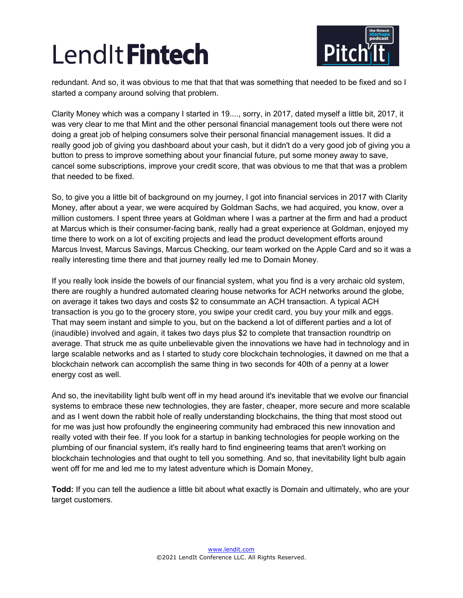

redundant. And so, it was obvious to me that that that was something that needed to be fixed and so I started a company around solving that problem.

Clarity Money which was a company I started in 19...., sorry, in 2017, dated myself a little bit, 2017, it was very clear to me that Mint and the other personal financial management tools out there were not doing a great job of helping consumers solve their personal financial management issues. It did a really good job of giving you dashboard about your cash, but it didn't do a very good job of giving you a button to press to improve something about your financial future, put some money away to save, cancel some subscriptions, improve your credit score, that was obvious to me that that was a problem that needed to be fixed.

So, to give you a little bit of background on my journey, I got into financial services in 2017 with Clarity Money, after about a year, we were acquired by Goldman Sachs, we had acquired, you know, over a million customers. I spent three years at Goldman where I was a partner at the firm and had a product at Marcus which is their consumer-facing bank, really had a great experience at Goldman, enjoyed my time there to work on a lot of exciting projects and lead the product development efforts around Marcus Invest, Marcus Savings, Marcus Checking, our team worked on the Apple Card and so it was a really interesting time there and that journey really led me to Domain Money.

If you really look inside the bowels of our financial system, what you find is a very archaic old system, there are roughly a hundred automated clearing house networks for ACH networks around the globe, on average it takes two days and costs \$2 to consummate an ACH transaction. A typical ACH transaction is you go to the grocery store, you swipe your credit card, you buy your milk and eggs. That may seem instant and simple to you, but on the backend a lot of different parties and a lot of (inaudible) involved and again, it takes two days plus \$2 to complete that transaction roundtrip on average. That struck me as quite unbelievable given the innovations we have had in technology and in large scalable networks and as I started to study core blockchain technologies, it dawned on me that a blockchain network can accomplish the same thing in two seconds for 40th of a penny at a lower energy cost as well.

And so, the inevitability light bulb went off in my head around it's inevitable that we evolve our financial systems to embrace these new technologies, they are faster, cheaper, more secure and more scalable and as I went down the rabbit hole of really understanding blockchains, the thing that most stood out for me was just how profoundly the engineering community had embraced this new innovation and really voted with their fee. If you look for a startup in banking technologies for people working on the plumbing of our financial system, it's really hard to find engineering teams that aren't working on blockchain technologies and that ought to tell you something. And so, that inevitability light bulb again went off for me and led me to my latest adventure which is Domain Money,

**Todd:** If you can tell the audience a little bit about what exactly is Domain and ultimately, who are your target customers.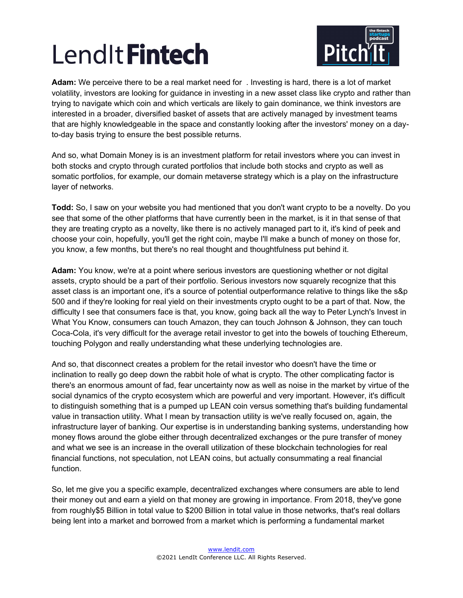

**Adam:** We perceive there to be a real market need for . Investing is hard, there is a lot of market volatility, investors are looking for guidance in investing in a new asset class like crypto and rather than trying to navigate which coin and which verticals are likely to gain dominance, we think investors are interested in a broader, diversified basket of assets that are actively managed by investment teams that are highly knowledgeable in the space and constantly looking after the investors' money on a dayto-day basis trying to ensure the best possible returns.

And so, what Domain Money is is an investment platform for retail investors where you can invest in both stocks and crypto through curated portfolios that include both stocks and crypto as well as somatic portfolios, for example, our domain metaverse strategy which is a play on the infrastructure layer of networks.

**Todd:** So, I saw on your website you had mentioned that you don't want crypto to be a novelty. Do you see that some of the other platforms that have currently been in the market, is it in that sense of that they are treating crypto as a novelty, like there is no actively managed part to it, it's kind of peek and choose your coin, hopefully, you'll get the right coin, maybe I'll make a bunch of money on those for, you know, a few months, but there's no real thought and thoughtfulness put behind it.

**Adam:** You know, we're at a point where serious investors are questioning whether or not digital assets, crypto should be a part of their portfolio. Serious investors now squarely recognize that this asset class is an important one, it's a source of potential outperformance relative to things like the s&p 500 and if they're looking for real yield on their investments crypto ought to be a part of that. Now, the difficulty I see that consumers face is that, you know, going back all the way to Peter Lynch's Invest in What You Know, consumers can touch Amazon, they can touch Johnson & Johnson, they can touch Coca-Cola, it's very difficult for the average retail investor to get into the bowels of touching Ethereum, touching Polygon and really understanding what these underlying technologies are.

And so, that disconnect creates a problem for the retail investor who doesn't have the time or inclination to really go deep down the rabbit hole of what is crypto. The other complicating factor is there's an enormous amount of fad, fear uncertainty now as well as noise in the market by virtue of the social dynamics of the crypto ecosystem which are powerful and very important. However, it's difficult to distinguish something that is a pumped up LEAN coin versus something that's building fundamental value in transaction utility. What I mean by transaction utility is we've really focused on, again, the infrastructure layer of banking. Our expertise is in understanding banking systems, understanding how money flows around the globe either through decentralized exchanges or the pure transfer of money and what we see is an increase in the overall utilization of these blockchain technologies for real financial functions, not speculation, not LEAN coins, but actually consummating a real financial function.

So, let me give you a specific example, decentralized exchanges where consumers are able to lend their money out and earn a yield on that money are growing in importance. From 2018, they've gone from roughly\$5 Billion in total value to \$200 Billion in total value in those networks, that's real dollars being lent into a market and borrowed from a market which is performing a fundamental market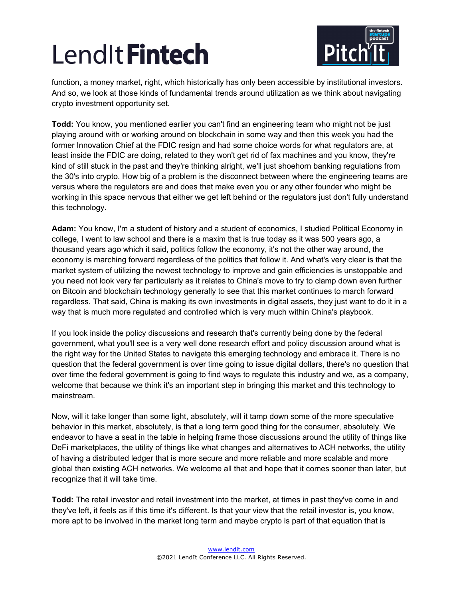

function, a money market, right, which historically has only been accessible by institutional investors. And so, we look at those kinds of fundamental trends around utilization as we think about navigating crypto investment opportunity set.

**Todd:** You know, you mentioned earlier you can't find an engineering team who might not be just playing around with or working around on blockchain in some way and then this week you had the former Innovation Chief at the FDIC resign and had some choice words for what regulators are, at least inside the FDIC are doing, related to they won't get rid of fax machines and you know, they're kind of still stuck in the past and they're thinking alright, we'll just shoehorn banking regulations from the 30's into crypto. How big of a problem is the disconnect between where the engineering teams are versus where the regulators are and does that make even you or any other founder who might be working in this space nervous that either we get left behind or the regulators just don't fully understand this technology.

**Adam:** You know, I'm a student of history and a student of economics, I studied Political Economy in college, I went to law school and there is a maxim that is true today as it was 500 years ago, a thousand years ago which it said, politics follow the economy, it's not the other way around, the economy is marching forward regardless of the politics that follow it. And what's very clear is that the market system of utilizing the newest technology to improve and gain efficiencies is unstoppable and you need not look very far particularly as it relates to China's move to try to clamp down even further on Bitcoin and blockchain technology generally to see that this market continues to march forward regardless. That said, China is making its own investments in digital assets, they just want to do it in a way that is much more regulated and controlled which is very much within China's playbook.

If you look inside the policy discussions and research that's currently being done by the federal government, what you'll see is a very well done research effort and policy discussion around what is the right way for the United States to navigate this emerging technology and embrace it. There is no question that the federal government is over time going to issue digital dollars, there's no question that over time the federal government is going to find ways to regulate this industry and we, as a company, welcome that because we think it's an important step in bringing this market and this technology to mainstream.

Now, will it take longer than some light, absolutely, will it tamp down some of the more speculative behavior in this market, absolutely, is that a long term good thing for the consumer, absolutely. We endeavor to have a seat in the table in helping frame those discussions around the utility of things like DeFi marketplaces, the utility of things like what changes and alternatives to ACH networks, the utility of having a distributed ledger that is more secure and more reliable and more scalable and more global than existing ACH networks. We welcome all that and hope that it comes sooner than later, but recognize that it will take time.

**Todd:** The retail investor and retail investment into the market, at times in past they've come in and they've left, it feels as if this time it's different. Is that your view that the retail investor is, you know, more apt to be involved in the market long term and maybe crypto is part of that equation that is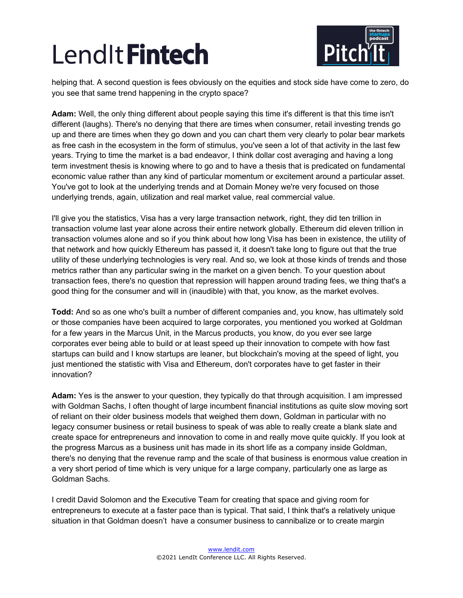

helping that. A second question is fees obviously on the equities and stock side have come to zero, do you see that same trend happening in the crypto space?

**Adam:** Well, the only thing different about people saying this time it's different is that this time isn't different (laughs). There's no denying that there are times when consumer, retail investing trends go up and there are times when they go down and you can chart them very clearly to polar bear markets as free cash in the ecosystem in the form of stimulus, you've seen a lot of that activity in the last few years. Trying to time the market is a bad endeavor, I think dollar cost averaging and having a long term investment thesis is knowing where to go and to have a thesis that is predicated on fundamental economic value rather than any kind of particular momentum or excitement around a particular asset. You've got to look at the underlying trends and at Domain Money we're very focused on those underlying trends, again, utilization and real market value, real commercial value.

I'll give you the statistics, Visa has a very large transaction network, right, they did ten trillion in transaction volume last year alone across their entire network globally. Ethereum did eleven trillion in transaction volumes alone and so if you think about how long Visa has been in existence, the utility of that network and how quickly Ethereum has passed it, it doesn't take long to figure out that the true utility of these underlying technologies is very real. And so, we look at those kinds of trends and those metrics rather than any particular swing in the market on a given bench. To your question about transaction fees, there's no question that repression will happen around trading fees, we thing that's a good thing for the consumer and will in (inaudible) with that, you know, as the market evolves.

**Todd:** And so as one who's built a number of different companies and, you know, has ultimately sold or those companies have been acquired to large corporates, you mentioned you worked at Goldman for a few years in the Marcus Unit, in the Marcus products, you know, do you ever see large corporates ever being able to build or at least speed up their innovation to compete with how fast startups can build and I know startups are leaner, but blockchain's moving at the speed of light, you just mentioned the statistic with Visa and Ethereum, don't corporates have to get faster in their innovation?

**Adam:** Yes is the answer to your question, they typically do that through acquisition. I am impressed with Goldman Sachs, I often thought of large incumbent financial institutions as quite slow moving sort of reliant on their older business models that weighed them down, Goldman in particular with no legacy consumer business or retail business to speak of was able to really create a blank slate and create space for entrepreneurs and innovation to come in and really move quite quickly. If you look at the progress Marcus as a business unit has made in its short life as a company inside Goldman, there's no denying that the revenue ramp and the scale of that business is enormous value creation in a very short period of time which is very unique for a large company, particularly one as large as Goldman Sachs.

I credit David Solomon and the Executive Team for creating that space and giving room for entrepreneurs to execute at a faster pace than is typical. That said, I think that's a relatively unique situation in that Goldman doesn't have a consumer business to cannibalize or to create margin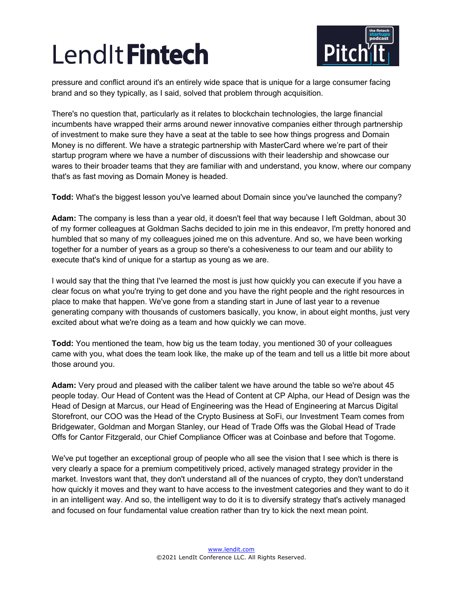

pressure and conflict around it's an entirely wide space that is unique for a large consumer facing brand and so they typically, as I said, solved that problem through acquisition.

There's no question that, particularly as it relates to blockchain technologies, the large financial incumbents have wrapped their arms around newer innovative companies either through partnership of investment to make sure they have a seat at the table to see how things progress and Domain Money is no different. We have a strategic partnership with MasterCard where we're part of their startup program where we have a number of discussions with their leadership and showcase our wares to their broader teams that they are familiar with and understand, you know, where our company that's as fast moving as Domain Money is headed.

**Todd:** What's the biggest lesson you've learned about Domain since you've launched the company?

**Adam:** The company is less than a year old, it doesn't feel that way because I left Goldman, about 30 of my former colleagues at Goldman Sachs decided to join me in this endeavor, I'm pretty honored and humbled that so many of my colleagues joined me on this adventure. And so, we have been working together for a number of years as a group so there's a cohesiveness to our team and our ability to execute that's kind of unique for a startup as young as we are.

I would say that the thing that I've learned the most is just how quickly you can execute if you have a clear focus on what you're trying to get done and you have the right people and the right resources in place to make that happen. We've gone from a standing start in June of last year to a revenue generating company with thousands of customers basically, you know, in about eight months, just very excited about what we're doing as a team and how quickly we can move.

**Todd:** You mentioned the team, how big us the team today, you mentioned 30 of your colleagues came with you, what does the team look like, the make up of the team and tell us a little bit more about those around you.

**Adam:** Very proud and pleased with the caliber talent we have around the table so we're about 45 people today. Our Head of Content was the Head of Content at CP Alpha, our Head of Design was the Head of Design at Marcus, our Head of Engineering was the Head of Engineering at Marcus Digital Storefront, our COO was the Head of the Crypto Business at SoFi, our Investment Team comes from Bridgewater, Goldman and Morgan Stanley, our Head of Trade Offs was the Global Head of Trade Offs for Cantor Fitzgerald, our Chief Compliance Officer was at Coinbase and before that Togome.

We've put together an exceptional group of people who all see the vision that I see which is there is very clearly a space for a premium competitively priced, actively managed strategy provider in the market. Investors want that, they don't understand all of the nuances of crypto, they don't understand how quickly it moves and they want to have access to the investment categories and they want to do it in an intelligent way. And so, the intelligent way to do it is to diversify strategy that's actively managed and focused on four fundamental value creation rather than try to kick the next mean point.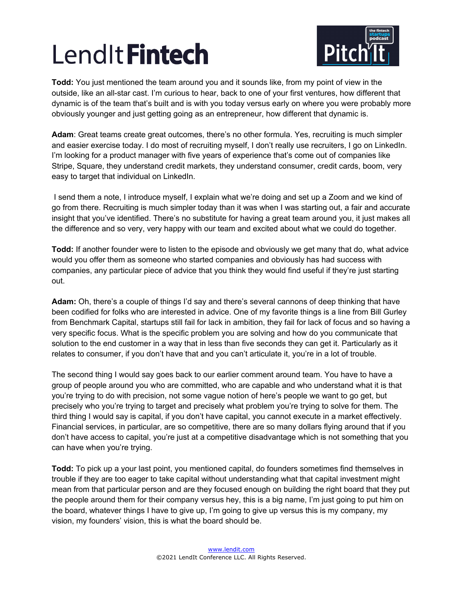

**Todd:** You just mentioned the team around you and it sounds like, from my point of view in the outside, like an all-star cast. I'm curious to hear, back to one of your first ventures, how different that dynamic is of the team that's built and is with you today versus early on where you were probably more obviously younger and just getting going as an entrepreneur, how different that dynamic is.

Adam: Great teams create great outcomes, there's no other formula. Yes, recruiting is much simpler and easier exercise today. I do most of recruiting myself, I don't really use recruiters, I go on LinkedIn. I'm looking for a product manager with five years of experience that's come out of companies like Stripe, Square, they understand credit markets, they understand consumer, credit cards, boom, very easy to target that individual on LinkedIn.

I send them a note, I introduce myself, I explain what we're doing and set up a Zoom and we kind of go from there. Recruiting is much simpler today than it was when I was starting out, a fair and accurate insight that you've identified. There's no substitute for having a great team around you, it just makes all the difference and so very, very happy with our team and excited about what we could do together.

**Todd:** If another founder were to listen to the episode and obviously we get many that do, what advice would you offer them as someone who started companies and obviously has had success with companies, any particular piece of advice that you think they would find useful if they're just starting out.

**Adam:** Oh, there's a couple of things I'd say and there's several cannons of deep thinking that have been codified for folks who are interested in advice. One of my favorite things is a line from Bill Gurley from Benchmark Capital, startups still fail for lack in ambition, they fail for lack of focus and so having a very specific focus. What is the specific problem you are solving and how do you communicate that solution to the end customer in a way that in less than five seconds they can get it. Particularly as it relates to consumer, if you don't have that and you can't articulate it, you're in a lot of trouble.

The second thing I would say goes back to our earlier comment around team. You have to have a group of people around you who are committed, who are capable and who understand what it is that you're trying to do with precision, not some vague notion of here's people we want to go get, but precisely who you're trying to target and precisely what problem you're trying to solve for them. The third thing I would say is capital, if you don't have capital, you cannot execute in a market effectively. Financial services, in particular, are so competitive, there are so many dollars flying around that if you don't have access to capital, you're just at a competitive disadvantage which is not something that you can have when you're trying.

**Todd:** To pick up a your last point, you mentioned capital, do founders sometimes find themselves in trouble if they are too eager to take capital without understanding what that capital investment might mean from that particular person and are they focused enough on building the right board that they put the people around them for their company versus hey, this is a big name, I'm just going to put him on the board, whatever things I have to give up, I'm going to give up versus this is my company, my vision, my founders' vision, this is what the board should be.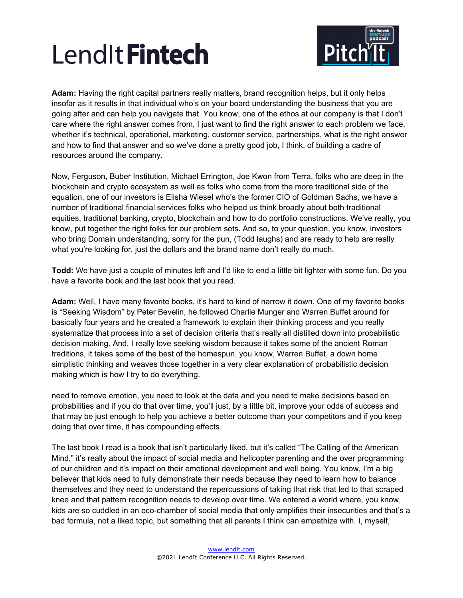

**Adam:** Having the right capital partners really matters, brand recognition helps, but it only helps insofar as it results in that individual who's on your board understanding the business that you are going after and can help you navigate that. You know, one of the ethos at our company is that I don't care where the right answer comes from, I just want to find the right answer to each problem we face, whether it's technical, operational, marketing, customer service, partnerships, what is the right answer and how to find that answer and so we've done a pretty good job, I think, of building a cadre of resources around the company.

Now, Ferguson, Buber Institution, Michael Errington, Joe Kwon from Terra, folks who are deep in the blockchain and crypto ecosystem as well as folks who come from the more traditional side of the equation, one of our investors is Elisha Wiesel who's the former CIO of Goldman Sachs, we have a number of traditional financial services folks who helped us think broadly about both traditional equities, traditional banking, crypto, blockchain and how to do portfolio constructions. We've really, you know, put together the right folks for our problem sets. And so, to your question, you know, investors who bring Domain understanding, sorry for the pun, (Todd laughs) and are ready to help are really what you're looking for, just the dollars and the brand name don't really do much.

**Todd:** We have just a couple of minutes left and I'd like to end a little bit lighter with some fun. Do you have a favorite book and the last book that you read.

**Adam:** Well, I have many favorite books, it's hard to kind of narrow it down. One of my favorite books is "Seeking Wisdom" by Peter Bevelin, he followed Charlie Munger and Warren Buffet around for basically four years and he created a framework to explain their thinking process and you really systematize that process into a set of decision criteria that's really all distilled down into probabilistic decision making. And, I really love seeking wisdom because it takes some of the ancient Roman traditions, it takes some of the best of the homespun, you know, Warren Buffet, a down home simplistic thinking and weaves those together in a very clear explanation of probabilistic decision making which is how I try to do everything.

need to remove emotion, you need to look at the data and you need to make decisions based on probabilities and if you do that over time, you'll just, by a little bit, improve your odds of success and that may be just enough to help you achieve a better outcome than your competitors and if you keep doing that over time, it has compounding effects.

The last book I read is a book that isn't particularly liked, but it's called "The Calling of the American Mind," it's really about the impact of social media and helicopter parenting and the over programming of our children and it's impact on their emotional development and well being. You know, I'm a big believer that kids need to fully demonstrate their needs because they need to learn how to balance themselves and they need to understand the repercussions of taking that risk that led to that scraped knee and that pattern recognition needs to develop over time. We entered a world where, you know, kids are so cuddled in an eco-chamber of social media that only amplifies their insecurities and that's a bad formula, not a liked topic, but something that all parents I think can empathize with. I, myself,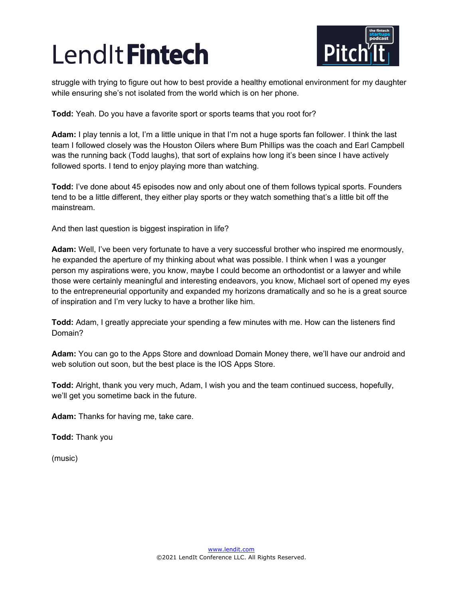

struggle with trying to figure out how to best provide a healthy emotional environment for my daughter while ensuring she's not isolated from the world which is on her phone.

**Todd:** Yeah. Do you have a favorite sport or sports teams that you root for?

**Adam:** I play tennis a lot, I'm a little unique in that I'm not a huge sports fan follower. I think the last team I followed closely was the Houston Oilers where Bum Phillips was the coach and Earl Campbell was the running back (Todd laughs), that sort of explains how long it's been since I have actively followed sports. I tend to enjoy playing more than watching.

**Todd:** I've done about 45 episodes now and only about one of them follows typical sports. Founders tend to be a little different, they either play sports or they watch something that's a little bit off the mainstream.

And then last question is biggest inspiration in life?

**Adam:** Well, I've been very fortunate to have a very successful brother who inspired me enormously, he expanded the aperture of my thinking about what was possible. I think when I was a younger person my aspirations were, you know, maybe I could become an orthodontist or a lawyer and while those were certainly meaningful and interesting endeavors, you know, Michael sort of opened my eyes to the entrepreneurial opportunity and expanded my horizons dramatically and so he is a great source of inspiration and I'm very lucky to have a brother like him.

**Todd:** Adam, I greatly appreciate your spending a few minutes with me. How can the listeners find Domain?

**Adam:** You can go to the Apps Store and download Domain Money there, we'll have our android and web solution out soon, but the best place is the IOS Apps Store.

**Todd:** Alright, thank you very much, Adam, I wish you and the team continued success, hopefully, we'll get you sometime back in the future.

**Adam:** Thanks for having me, take care.

**Todd:** Thank you

(music)